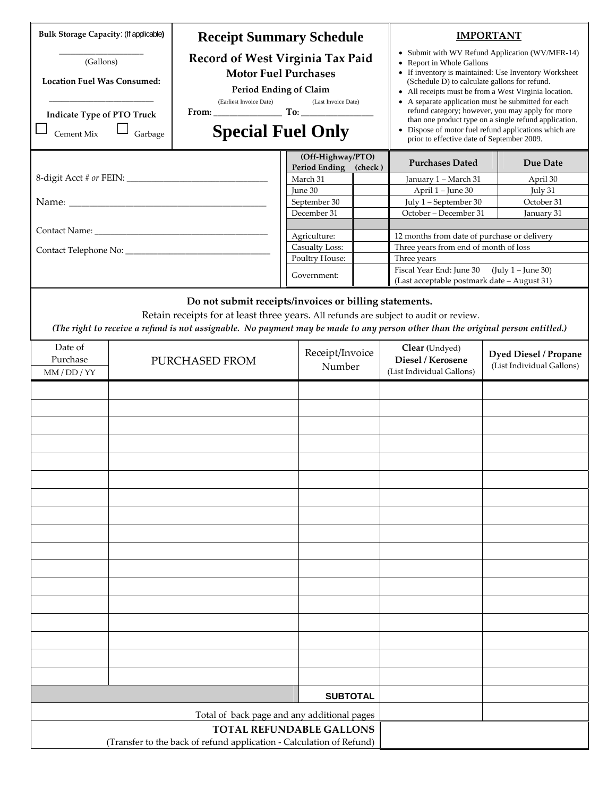| <b>Bulk Storage Capacity: (If applicable)</b><br>(Gallons)<br><b>Location Fuel Was Consumed:</b><br><b>Indicate Type of PTO Truck</b><br>Cement Mix<br>Garbage |                                                                                                         | <b>Receipt Summary Schedule</b><br>Record of West Virginia Tax Paid<br><b>Motor Fuel Purchases</b><br>Period Ending of Claim<br>(Earliest Invoice Date)<br>(Last Invoice Date)<br><b>Special Fuel Only</b>                |  | <b>IMPORTANT</b><br>• Submit with WV Refund Application (WV/MFR-14)<br>• Report in Whole Gallons<br>• If inventory is maintained: Use Inventory Worksheet<br>(Schedule D) to calculate gallons for refund.<br>• All receipts must be from a West Virginia location.<br>• A separate application must be submitted for each<br>refund category; however, you may apply for more<br>than one product type on a single refund application.<br>• Dispose of motor fuel refund applications which are<br>prior to effective date of September 2009. |  |                                                                 |                           |
|----------------------------------------------------------------------------------------------------------------------------------------------------------------|---------------------------------------------------------------------------------------------------------|---------------------------------------------------------------------------------------------------------------------------------------------------------------------------------------------------------------------------|--|------------------------------------------------------------------------------------------------------------------------------------------------------------------------------------------------------------------------------------------------------------------------------------------------------------------------------------------------------------------------------------------------------------------------------------------------------------------------------------------------------------------------------------------------|--|-----------------------------------------------------------------|---------------------------|
|                                                                                                                                                                |                                                                                                         |                                                                                                                                                                                                                           |  | (Off-Highway/PTO)<br>Period Ending<br>(check)                                                                                                                                                                                                                                                                                                                                                                                                                                                                                                  |  | <b>Purchases Dated</b>                                          | Due Date                  |
|                                                                                                                                                                |                                                                                                         |                                                                                                                                                                                                                           |  | March 31                                                                                                                                                                                                                                                                                                                                                                                                                                                                                                                                       |  | January 1 - March 31                                            | April 30                  |
|                                                                                                                                                                |                                                                                                         |                                                                                                                                                                                                                           |  | June 30                                                                                                                                                                                                                                                                                                                                                                                                                                                                                                                                        |  | April 1 - June 30                                               | July 31                   |
|                                                                                                                                                                |                                                                                                         |                                                                                                                                                                                                                           |  | September 30<br>December 31                                                                                                                                                                                                                                                                                                                                                                                                                                                                                                                    |  | July 1 - September 30<br>October - December 31                  | October 31<br>January 31  |
|                                                                                                                                                                |                                                                                                         |                                                                                                                                                                                                                           |  |                                                                                                                                                                                                                                                                                                                                                                                                                                                                                                                                                |  |                                                                 |                           |
|                                                                                                                                                                |                                                                                                         |                                                                                                                                                                                                                           |  | Agriculture:                                                                                                                                                                                                                                                                                                                                                                                                                                                                                                                                   |  | 12 months from date of purchase or delivery                     |                           |
|                                                                                                                                                                |                                                                                                         |                                                                                                                                                                                                                           |  | <b>Casualty Loss:</b>                                                                                                                                                                                                                                                                                                                                                                                                                                                                                                                          |  | Three years from end of month of loss                           |                           |
|                                                                                                                                                                |                                                                                                         |                                                                                                                                                                                                                           |  | Poultry House:                                                                                                                                                                                                                                                                                                                                                                                                                                                                                                                                 |  | Three years<br>Fiscal Year End: June 30<br>$(July 1 - June 30)$ |                           |
|                                                                                                                                                                |                                                                                                         |                                                                                                                                                                                                                           |  | Government:                                                                                                                                                                                                                                                                                                                                                                                                                                                                                                                                    |  | (Last acceptable postmark date - August 31)                     |                           |
| Date of<br>Purchase                                                                                                                                            |                                                                                                         | Retain receipts for at least three years. All refunds are subject to audit or review.<br>(The right to receive a refund is not assignable. No payment may be made to any person other than the original person entitled.) |  | Receipt/Invoice                                                                                                                                                                                                                                                                                                                                                                                                                                                                                                                                |  | Clear (Undyed)                                                  | Dyed Diesel / Propane     |
| MM / DD / YY                                                                                                                                                   |                                                                                                         | PURCHASED FROM                                                                                                                                                                                                            |  | Number                                                                                                                                                                                                                                                                                                                                                                                                                                                                                                                                         |  | Diesel / Kerosene<br>(List Individual Gallons)                  | (List Individual Gallons) |
|                                                                                                                                                                |                                                                                                         |                                                                                                                                                                                                                           |  |                                                                                                                                                                                                                                                                                                                                                                                                                                                                                                                                                |  |                                                                 |                           |
|                                                                                                                                                                |                                                                                                         |                                                                                                                                                                                                                           |  | <b>SUBTOTAL</b>                                                                                                                                                                                                                                                                                                                                                                                                                                                                                                                                |  |                                                                 |                           |
|                                                                                                                                                                |                                                                                                         |                                                                                                                                                                                                                           |  |                                                                                                                                                                                                                                                                                                                                                                                                                                                                                                                                                |  |                                                                 |                           |
|                                                                                                                                                                | Total of back page and any additional pages                                                             |                                                                                                                                                                                                                           |  |                                                                                                                                                                                                                                                                                                                                                                                                                                                                                                                                                |  |                                                                 |                           |
|                                                                                                                                                                | <b>TOTAL REFUNDABLE GALLONS</b><br>(Transfer to the back of refund application - Calculation of Refund) |                                                                                                                                                                                                                           |  |                                                                                                                                                                                                                                                                                                                                                                                                                                                                                                                                                |  |                                                                 |                           |
|                                                                                                                                                                |                                                                                                         |                                                                                                                                                                                                                           |  |                                                                                                                                                                                                                                                                                                                                                                                                                                                                                                                                                |  |                                                                 |                           |